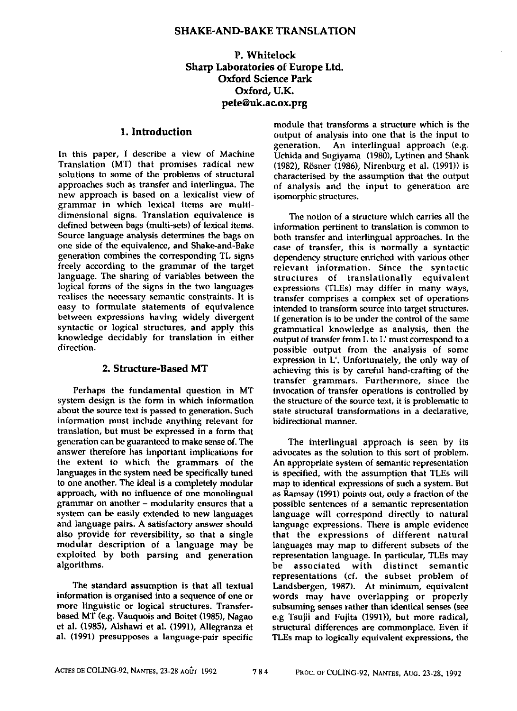# P. Whitelock Sharp Laboratories of Europe Ltd. Oxford Science Park Oxford, U.K. pete@uk.ac.ox.prg

## 1. Introduction

In this paper, I describe a view of Machine Translation (MT) that promises radical new solutions to some of the problems of structural approaches such as transfer and interlingua. The new approach is based on a lexicalist view of grammar in which lexical items are multidimensional signs. Translation equivalence is defined between bags (multi-sets) of lexical items. Source language analysis determines the bags on one side of the equivalence, and Shake-and-Bake generation combines the corresponding TL signs freely according to the grammar of the target language. The sharing of variables between the logical forms of the signs in the two languages realises the necessary semantic constraints. It is easy to formulate statements of equivalence between expressions having widely divergent syntactic or logical structures, and apply this knowledge decidably for translation in either direction.

# 2. Structure-Based MT

Perhaps the fundamental question in MT system design is the form in which information about the source text is passed to generation. Such information must include anything relevant for translation, but must be expressed in a form that generation can be guaranteed to make sense of. The answer therefore has important implications for the extent to which the grammars of the languages in the system need be specifically tuned to one another. The ideal is a completely modular approach, with no influence of one monolingual grammar on another - modularity ensures that a system can be easily extended to new languages and language pairs. A satisfactory answer should also provide for reversibility, so that a single modular description of a language may be exploited by both parsing and generation algorithms.

The standard assumption is that all textual information is organised into a sequence of one or more linguistic or logical structures. Transferbased MT (e.g. Vauquois and Boitet (1985), Nagao et al. (1985), Alshawi et al. (1991), AUegranza et al. (1991) presupposes a language-pair specific

module that transforms a structure which is the output of analysis into one that is the input to generation. An interlingual approach (e.g. Uchida and Sugiyama (1980), Lytinen and Shank (1982), R6sner (1986), Nirenburg et al. (1991)) is characterised by the assumption that the output of analysis and the input to generation are isomorphic structures.

The notion of a structure which carries all the information pertinent to translation is common to both transfer and interlingual approaches. In the case of transfer, this is normally a syntactic dependency structure enriched with various other relevant information. Since the syntactic structures of translationally equivalent expressions (TLEs) may differ in many ways, transfer comprises a complex set of operations intended to transform source into target structures. If generation is to be under the control of the same grammatical knowledge as analysis, then the output of transfer from L to L' must correspond to a possible output from the analysis of some expression in L'. Unfortunately, the only way of achieving this is by careful hand-crafting of the transfer grammars. Furthermore, since the invocation of transfer operations is controlled by the structure of the source text, it is problematic to state structural transformations in a declarative, bidirectional manner.

The interlingual approach is seen by its advocates as the solution to this sort of problem. An appropriate system of semantic representation is specified, with the assumption that TLEs will map to identical expressions of such a system. But as Ramsay (1991) points out, only a fraction of the possible sentences of a semantic representation language will correspond directly to natural language expressions. There is ample evidence that the expressions of different natural languages may map to different subsets of the representation language. In particular, TLEs may be associated with distinct semantic representations (cf. the subset problem of Landsbergen, 1987). At minimum, equivalent words may have overlapping or properly subsuming senses rather than identical senses (see e.g Tsujii and Fujita (1991)), but more radical, structural differences are commonplace. Even if TLEs map to logically equivalent expressions, the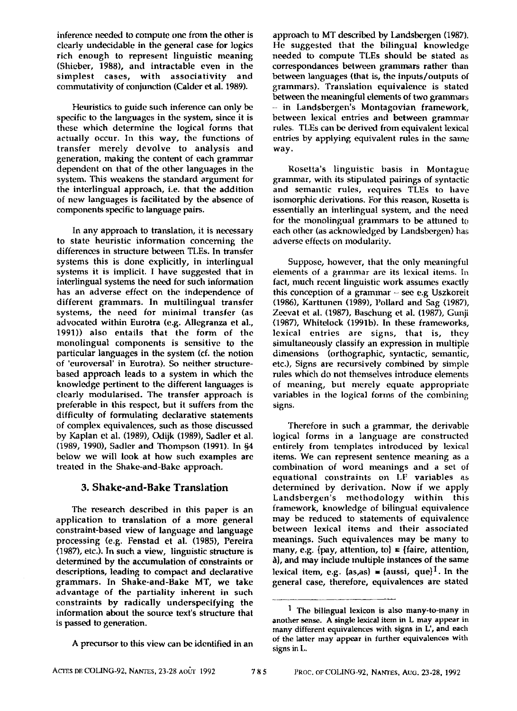inference needed to compute one from the other is clearly undecidable in the general case for logics rich enough to represent linguistic meaning (Shieber, 1988), and intractable even in the simplest cases, with associativity and commutativity of conjunction (Calder et al. 1989).

Heuristics to guide such inference can only be specific to the languages in the system, since it is these which determine the logical forms that actually occur. In this way, the functions of transfer merely devolve to analysis and generation, making the content of each grammar dependent on that of the other languages in the system. This weakens the standard argument for the interlingual approach, i.e. that the addition of new languages is facilitated by the absence of components specific to language pairs.

In any approach to translation, it is necessary to state heuristic information concerning the differences in structure between TLEs. In transfer systems this is done explicitly, in interlingual systems it is implicit. I have suggested that in interlingual systems the need for such information has an adverse effect on the independence of different grammars. In multilingual transfer systems, the need for minimal transfer (as advocated within Eurotra (e.g. Allegranza et al., 1991)) also entails that the form of the monolingual components is sensitive to the particular languages in the system (cf. the notion of 'euroversal' in Eurotra). So neither structurebased approach leads to a system in which the knowledge pertinent to the different languages is clearly modularised. The transfer approach is preferable in this respect, but it suffers from the difficulty of formulating declarative statements of complex equivalences, such as those discussed by Kaplan et al. (1989), Odijk (1989), Sadler et al. (1989, 1990), Sadler and Thompson (1991). In §4 below we will look at how such examples are treated in the Shake-and-Bake approach.

### 3. Shake-and-Bake Translation

The research described in this paper is an application to translation of a more general constraint-based view of language and language processing (e.g. Fenstad et al. (1985), Pereira (1987), etc.). In such a view, linguistic structure is determined by the accumulation of constraints or descriptions, leading to compact and declarative grammars. In Shake-and-Bake MT, we take advantage of the partiality inherent in such constraints by radically underspecifying the information about the source text's structure that is passed to generation.

A precursor to this view can be identified in an

approach to MT described by Landsbergen (1987). He suggested that the bilingual knowledge needed to compute TLEs should be stated as correspondances between grammars rather than between languages (that is, the inputs/outputs of grammars). Translation equivalence is stated between the meaningful elements of two grammars - in Landsbergen's Montagovian framework, between lexical entries and between grammar rules. TLEs can be derived from equivalent lexical entries by applying equivalent rules in the same way.

Rosetta's linguistic basis in Montague grammar, with its stipulated pairings of syntactic and semantic rules, requires TLEs to have isomorphic derivations. For this reason, Rosetta is essentially an interlingual system, and the need for the monolingual grammars to be attuned to each other (as acknowledged by Landsbergen) has adverse effects on modularity.

Suppose, however, that the only meaningful elements of a grammar are its lexical items. In fact, much recent linguistic work assumes exactly this conception of a grammar  $-$  see e.g Uszkoreit (1986), Karttunen (1989), Pollard and Sag (1987), Zeevat et al. (1987), Baschung et al. (1987), Gunji (1987), Whitelock (1991b). in these frameworks, lexical entries are signs, that is, they simultaneously classify an expression in multiple dimensions (orthographic, syntactic, semantic, etc.), Signs are recursively combined by simple rules which do not themselves introduce elements of meaning, but merely equate appropriate variables in the logical forms of the combining signs.

Therefore in such a grammar, the derivable logical forms in a language are constructed entirely from templates introduced by lexical items. We can represent sentence meaning as a combination of word meanings and a set of equational constraints on LF variables as determined by derivation. Now if we apply Landsbergen's methodology within this framework, knowledge of bilingual equivalence may be reduced to statements of equivalence between lexical items and their associated meanings. Such equivalences may be many to many, e.g. {pay, attention, to}  $\equiv$  {faire, attention, a}, and may include multiple instances of the same lexical item, e.g.  $[$ as,as $] = {$ aussi, que $]$ <sup>1</sup>. In the general case, therefore, equivalences are stated

 $<sup>1</sup>$  The bilingual lexicon is also many-to-many in</sup> another sense. A single lexical item in L may appear in many different equivalences with signs in L', and each of the latter may appear in further equivalences with signs in L.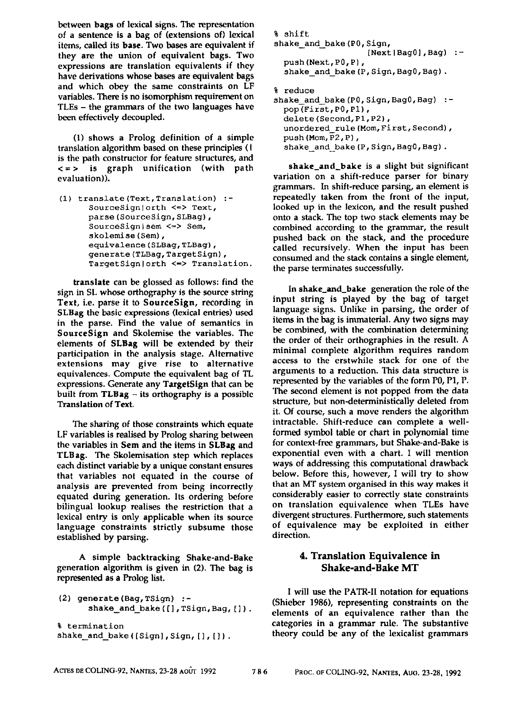between **bags** of lexical signs. The representation of a sentence is a bag of (extensions of) lexical items, called its base. Two bases are equivalent if they are the union of equivalent bags. Two expressions are translation equivalents if they have derivations whose bases are equivalent bags and which obey the same constraints on LF variables. There is no isomorphism requirement on TLEs - the grammars of the two languages have been effectively deeoupled.

(1) shows a Prolog definition of a simple translation algorithm based on these principles ( I is the path constructor for feature structures, and  $\leftarrow$  > is graph unification (with path evaluation)).

(i) translate (Text, Translation) : - SourceSign|orth <=> Text, parse (SourceSign, SLBag), SourceSign|sem <=> Sem, skolemise (Sem) , equivalence (SLBag, TLBag) , generate (TLBag, TargetSign) , TargetSign] orth <=> Translation.

translate can be glossed as follows: find the sign in SL whose orthography is the source string Text, i.e. parse it to SourceSign, recording in SLBag the basic expressions (iexical entries) used in the parse. Find the value of semantics in SourceSign and Skolemise the variables. The elements of SLBag will be extended by their participation in the analysis stage. Alternative extensions may give rise to alternative equivalences. Compute the equivalent bag of TL expressions. Generate any TargetSign that can be built from  $TLBag - its orthography$  is a possible Translation of Text.

The sharing of those constraints which equate LF variables is realised by Prolog sharing between the variables in Sem and the items in SLBag and TLBag. The Skolemisation step which replaces each distinct variable by a unique constant ensures that variables not equated in the course of analysis are prevented from being incorrectly equated during generation. Its ordering before bilingual lookup realises the restriction that a lexical entry is only applicable when its source language constraints strictly subsume those established by parsing.

A simple backtracking Shake-and-Bake generation algorithm is given in (2). The bag is represented as a Prolog list.

```
(2) generate(Bag, TSign) :- 
      shake and bake ([], TSign, Bag, []).
% termination
```
shake\_and\_bake([Sign],Sign,[],[]).

```
% shift 
shake and bake (P0, Sign, 
                     [Next | Bag0], Bag) : -push (Next, P0, P) , 
  shake and bake (P, Sign, Bag0, Bag) . 
% reduce 
shake and bake(P0, Sign, Bag0, Bag) :-
```

```
pop (First, P0, PI) , 
delete (Second, P1, P2),
unordered rule (Mom, First, Second) ,
push (Mom, P2, P), 
shake and bake (P, Sign, Bag0, Bag).
```
**shake\_and bake** is a slight but significant variation on a shift-reduce parser for binary grammars. In shift-reduce parsing, an element is repeatedly taken from the front of the input, looked up in the lexicon, and the result pushed onto a stack. The top two stack elements may be combined according to the grammar, the result pushed back on the stack, and the procedure called recursively. When the input has been consumed and the stack contains a single element, the parse terminates successfully.

In shake\_and\_bake generation the role of the input string is played by the bag of target language signs. Unlike in parsing, the order of items in the bag is immaterial. Any two signs may be combined, with the combination determining the order of their orthographies in the result. A minimal complete algorithm requires random access to the erstwhile stack for one of the arguments to a reduction. This data structure is represented by the variables of the form P0, P1, P. The second element is not popped from the data structure, but non-deterministically deleted from it. Of course, such a move renders the algorithm intractable. Shift-reduce can complete a wellformed symbol table or chart in polynomial time for context-free grammars, but Shake-and-Bake is exponential even with a chart. I will mention ways of addressing this computational drawback below. Before this, however, I will try to show that an MT system organised in this way makes it considerably easier to correctly state constraints on translation equivalence when TLEs have divergent structures. Furthermore, such statements of equivalence may be exploited in either direction.

# **4. Translation Equivalence** in Shake-and-Bake MT

1 will use the PATR-II notation for equations (Shieber 1986), representing constraints on the elements of an equivalence rather than the categories in a grammar rule. The substantive theory could be any of the lexicalist grammars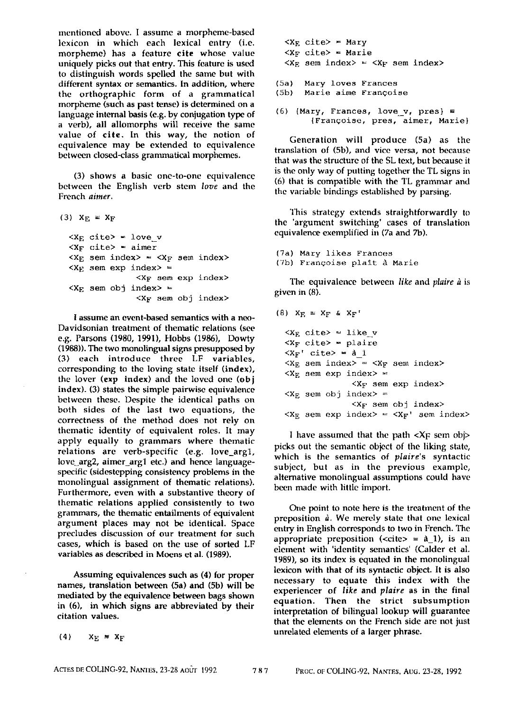mentioned above. I assume a morpheme-based lexicon in which each lexical entry (i.e. morpheme) has a feature cite whose value uniquely picks out that entry. This feature is used to distinguish words spoiled the same but with different syntax or semantics, in addition, where the orthographic form of a grammatical morpheme (such as past tense) is determined on a language internal basis (e.g. by conjugation type of a verb), all allomorphs will receive the same value of cite. In this way, the notion of equivalence may be extended to equivalence between closed-class grammatical morphemes.

**(3) shows a** basic one-to-one equivalence between the English verb stem *love* and the French *aimer.* 

(3)  $X_F = X_F$  $E$  cite> = love v  $<$ X<sub>F</sub> cite> = aimer  $E$  sem index> =  $F$  sem index>  $<$ X<sub>E</sub> sem exp index> =  $\langle X_F \rangle$  sem exp index>  $sem obj index> =$  $<$ X<sub>F</sub> sem obj index>

I assume an event-based semantics with a neo-Davidsonian treatment of thematic relations (see e.g. Parsons (1980, 1991), Hobbs (1986), Dowty (1988)). The two monolingual signs presupposed by (3) each introduce three LF variables, corresponding to the loving state itself (index), the lover (exp index) and the loved one (obj index). (3) states the simple pairwise equivalence between these. Despite the identical paths on both sides of the last two equations, the correctness of the method does not rely on thematic identity of equivalent roles. It may apply equally to grammars where thematic relations are verb-specific (e.g. love\_argl, love arg2, aimer argl etc.) and hence languagespecific (sidestepping consistency problems in the monolingual assignment of thematic relations). Furthermore, even with a substantive theory of thematic relations applied consistently to two grammars, the thematic entailments of equivalent argument places may not be identical. Space precludes discussion of our treatment for such cases, which is based on the use of sorted LF variables as described in Moens et al. (1989).

Assuming equivalences such as (4) for proper names, translation between (5a) and (Sb) will be mediated by the equivalence between bags shown in (6), in which signs are abbreviated by their citation values.

```
<X<sub>E</sub> cite> = Mary
  <X<sub>F</sub> cite> = Marie
  \langle X_F \rangle sem index = \langle X_F \rangle sem index >
(Sa) Mary loves Frances 
(5b) Marie aime Francoise
(6) (Mary, Frances, love v, pres) \equiv
```
Generation will produce (5a) as the translation of (5b), and vice versa, not because that was the structure of the SL text, but because it is the only way of putting together the TL signs in (6) that is compatible with the TL grammar and the variable bindings established by parsing.

{FranGoise, pres, aimer, Marie}

This strategy extends straightforwardly to the 'argument switching' cases of translation equivalence exemplified in (7a and To).

```
(7a) Mary likes Frances 
(7b) Françoise plaît à Marie
```
The equivalence between *like* and *plaire*  $\hat{a}$  is given in (8).

```
(8) X_F = X_F - X_F Y_F<X_E cite> ~\sim like v
  <X<sub>F</sub> cite> = plaire
  \langle X_F' \rangle cite> = \lambda 1
  \langle X_F \rangle sem index> = \langle X_F \rangle sem index>
  X_E sem exp index> =
                      <X<sub>F</sub> sem exp index>
  <X<sub>E</sub> sem obj index> =
                      <X_F sem obj index><X_{\rm F} sem exp index> = <X_{\rm F}' sem index>
```
1 have assumed that the path  $\langle X_F \rangle$  sem obj> picks out the semantic object of the liking state, which is the semantics of *plaire's* syntactic subject, but as in the previous example, alternative monolingual assumptions could have been made with little import.

One point to note here is the treatment of the preposition  $\dot{a}$ . We merely state that one lexical entry in English corresponds to two in French. The appropriate preposition (<cite> =  $a_1$ ), is an element with 'identity semantics' (Calder et al. 1989), so its index is equated in the monolingual lexicon with that of its syntactic object. It is also necessary to equate this index with the experiencer of *like* and *plaire* as in the final equation. Then the strict subsumption interpretation of bilingual lookup will guarantee that the elements on the French side are not just unrelated elements of a larger phrase.

(4)  $X_E = X_F$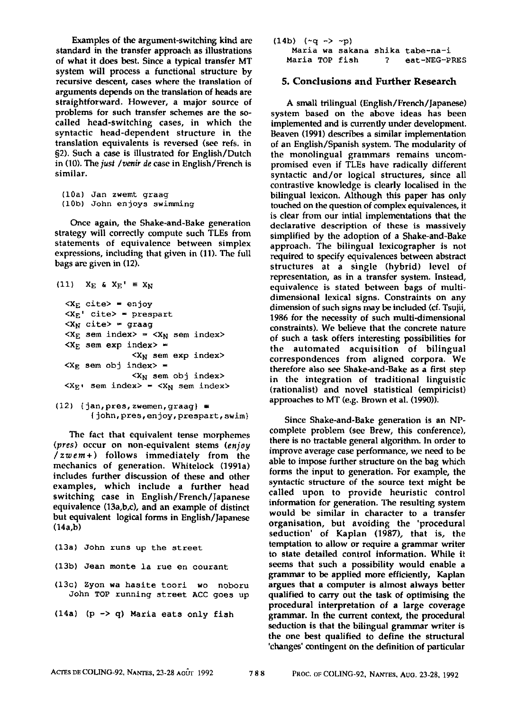Examples of the argument-switching kind are standard in the transfer approach as illustrations of what it does best. Since a typical transfer MT system will process a functional structure by recursive descent, cases where the translation of arguments depends on the translation of heads are straightforward. However, a major source of problems for such transfer schemes are the socalled head-switching cases, in which the syntactic head-dependent structure in the translation equivalents is reversed (see refs. in §2). Such a case is illustrated for English/Dutch in (10). The *just/venir de* case in English/French is similar.

(10a) Jan zwemt graag (10b) John enjoys swimming

Once again, the Shake-and-Bake generation strategy will correctly compute such TLEs from statements of equivalence between simplex expressions, including that given in (11). The full bags are given in (12).

```
(11) X_E & X_E' = X_N<X<sub>E</sub> cite> = enjoy
  <X<sub>E</sub>' cite> = prespart
  <X<sub>N</sub> cite> = graag
  <X<sub>E</sub> sem index> = <X<sub>N</sub> sem index>
  <X_E sem exp index> =
                    <X<sub>N</sub> sem exp index>
  < X_E sem obj index> =
                    <X<sub>N</sub> sem obj index>
  X_E sem index> = X_N sem index>
```

```
(12) \{jan, pres, zwemen, graaq\} =
        {john, pres, enjoy, prespart, swim}
```
The fact that equivalent tense morphemes *(pres)* occur on non-equivalent stems *(enjoy /zwem+)* follows immediately from the mechanics of generation. Whitelock (1991a) includes further discussion of these and other examples, which include a further head switching case in English/French/Iapanese equivalence (13a,b,c), and an example of distinct but equivalent logical forms in English/Japanese  $(14a,b)$ 

```
(13a) John runs up the street
```
- (13b) Jean monte la rue en courant
- (13c) Zyon wa hasite toori wo noboru John TOP running street ACC goes up

```
(14a) (p -> q) Maria eats only fish
```

| $(14b)$ $(-q \rightarrow \sim p)$ |     |                                 |
|-----------------------------------|-----|---------------------------------|
|                                   |     | Maria wa sakana shika tabe-na-i |
| Maria TOP fish                    | - 7 | eat-NEG-PRES                    |

## 5. Conclusions and Further Research

A small trilingual (English/French/Japanese) system based on the above ideas has been implemented and is currently under development. Beaven (1991) describes a similar implementation of an English/Spanish system. The modularity of the monolingual grammars remains uncompromised even if TLEs have radically different syntactic and/or logical structures, since all contrastive knowledge is clearly Iocalised in the bilingual lexicon. Although this paper has only touched on the question of complex equivalences, it is clear from our intial implementations that the declarative description of these is massively simplified by the adoption of a Shake-and-Bake approach. The bilingual lexicographer is not required to specify equivalences between abstract structures at a single (hybrid) level of representation, as in a transfer system. Instead, equivalence is stated between bags of multidimensional lexical signs. Constraints on any dimension of such signs may be included (cf. Tsujii, 1986 for the necessity of such multi-dimensional constraints). We believe that the concrete nature of such a task offers interesting possibilities for the automated acquisition of bilingual correspondences from aligned corpora. We therefore also see Shake-and-Bake as a first step in the integration of traditional linguistic (rationalist) and novel statistical (empiricist) approaches to MT (e.g. Brown et al. (1990)).

Since Shake-and-Bake generation is an NPcomplete problem (see Brew, this conference), there is no tractable general algorithm. In order to improve average case performance, we need to be able to impose further structure on the bag which forms the input to generation. For example, the syntactic structure of the source text might be called upon to provide heuristic control information for generation. The resulting system would be similar in character to a transfer organisation, but avoiding the 'procedural seduction' of Kaplan (1987), that is, the temptation to allow or require a grammar writer to state detailed control information. While it seems that such a possibility would enable a grammar to be applied more efficiently, Kaplan argues that a computer is almost always better qualified to carry out the task of optimising the procedural interpretation of a large coverage grammar. In the current context, the procedural seduction is that the bilingual grammar writer is the one best qualified to define the structural 'changes' contingent on the definition of particular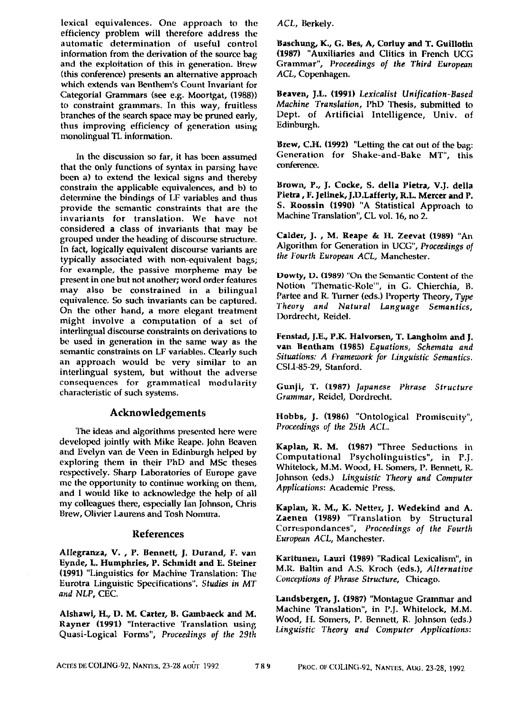lexical equivalences. One approach to the efficiency problem will therefore address the automatic determination of useful control information from the derivation of the source bag and the exploitation of this in generation. Brew (this conference) presents an alternative approach which extends van Benthem's Count Invariant for Categorial Grammars (see e.g. Moortgat, (1988)) to constraint grammars. In this way, fruitless branches of the search space may be pruned early, thus improving efficiency of generation using monolingual TL information.

In the discussion so far, it has been assumed that the only functions of syntax in parsing have been a) to extend the lexical signs and thereby constrain the applicable equivalences, and b) to determine the bindings of LF variables and thus provide the semantic constraints that are the invariants for translation. We have not considered a class of invariants that may be grouped under the heading of discourse structure. In fact, logically equivalent discourse variants are typically associated with non-equivalent bags; for example, the passive morpheme may be present in one but not another; word order features may also be constrained in a bilingual equivalence. So such invariants can be captured. On the other hand, a more elegant treatment might involve a computation of a set of interlingual discourse constraints on derivations to be used in generation in the same way as the semantic constraints on LF variables. Clearly such an approach would be very similar to an interlingual system, but without the adverse consequences for grammatical modularity characteristic of such systems.

### Acknowledgements

The ideas and algorithms presented here were developed jointly with Mike Reape. John Beaven and Evelyn van de Veen in Edinburgh helped by exploring them in their PhD and MSc theses respectively. Sharp Laboratories of Europe gave me the opportunity to continue working on them, and 1 would like to acknowledge the help of all my colleagues there, especially ian Johnson, Chris Brew, Olivier Laurens and Tosh Nomura.

### **References**

**Allegranza, V. , P. Bennett, J. Durand, F.** van **Eynde, L. Humphries, P. Schmidt and E.** Steiner (1991) "Linguistics for Machine Translation: The Eurotra Linguistic Specifications". *Studies in MT and NLP,* CEC.

Alshawi, H., D. M. Carter, B. Gambaeck and M. Rayner (1991) "Interactive Translation using Quasi-Logical Forms", *Proceedings of the 29th*  *ACL,* Berkely.

Baschung, K., G. Bes, A, Corluy and T. Guillotin (1987) "Auxiliaries and Clitics in French UCG Grammar", *Proceedings of the Third European ACL,* Copenhagen.

Beaven, J.L. (1991) *Lexicalist Unification-Based Machine Translation,* PhD Thesis, submitted to Dept. of Artificial Intelligence, Univ. of Edinburgh.

Brew, C.H. (1992) "Letting the cat out of the bag: Generation for Shake-and-Bake MT", this conference.

**Brown, P., J. Cocke, S. della Pietra, V.J. della Pietra, F. Jelinek, J.D.Lafferty, R.L. Mercer and P. S. Roossin (1990) "A** Statistical Approach to Machine Translation", CL vol. 16, no 2.

Calder, J. , M. Reape & H. Zeevat (1989) "An Algorithm for Generation in UCG", *Proceedings of the Fourth European ACL,* Manchester.

Dowty, D. (1989) "On the Semantic Content of the Notion 'Thematic-Role'", in G. Chierchia, B. Partee and R. Turner (eds.) Property Theory, Type *Theory and Natural Language Semantics,*  Dordrecht, Reidel.

Fenstad, J.E., P.K. Halvorsen, T. Langholm and J. van Bentham (1985) *Equations, Schemata and Situations: A Framework for Linguistic Semantics.*  CSLI-85-29, Stanford.

Gunji, T. (1987) *Japanese Phrase Structure Grammar,* Reidel, Dordrecht.

**Hobbs,** J. (1986) "Ontological Promiscuity", *Proceedings of the 25th ACL.* 

Kaplan, R. M. (1987) "Three Seductions in Computational Psycholinguistics", in P.J. Whitelock, M.M. Wood, H. Somers, P. Bennett, R. Johnson (eds.) *Linguistic Theory and Computer Applications:* Academic Press.

**Kaplan, R. M., K. Netter, J. Wedekind and A. Zaenen** (1989) "Translation by Structural Correspondances", *Proceedings of the Fourth European ACL,* Manchester.

Karttunen, Lauri (1989) "Radical Lexicalism", in M.R. Baltin and A.S. Kroch (eds.), *Alternative Conceptions of Phrase Structure,* Chicago.

Landsbergen, J. (1987) "Montague Grammar and Machine Translation", in P.J. Whitelock, M.M. Wood, H. Somers, P. Bennett, R. Johnson (eds.) *Linguistic Theory and Computer Applications:*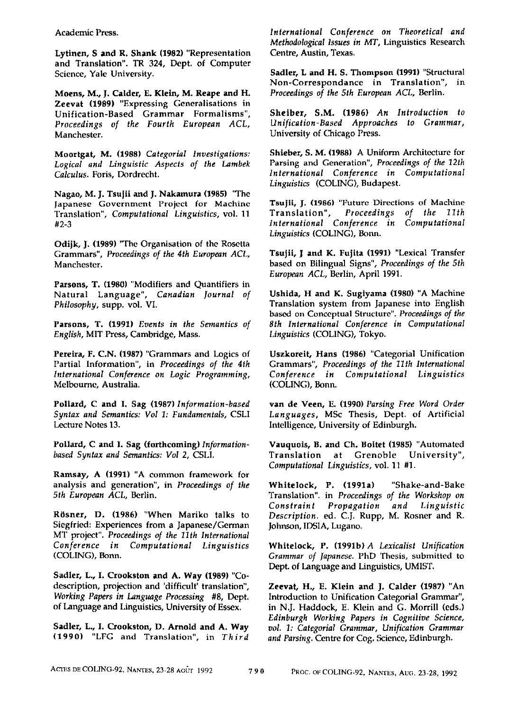Academic Press.

Lytinen, S and R. Shank (1982) "Representation and Translation". TR 324, Dept. of Computer Science, Yale University.

**Moens, M., I. Calder, E. Klein, M. Reape and H.**  Zeevat (1989) "Expressing Generalisations in Unification-Based Grammar Formalisms", *Proceedings of the Fourth European ACL,*  Manchester.

Moortgat, M. (1988) *Categorial Investigations: Logical and Linguistic Aspects of the Lambek Calculus.* Foris, Dordrecht.

Nagao, M. J. Tsujii and J. Nakamura (1985) "The Japanese Government Project for Machine Translation", *Computational Linguistics,* vol. 11 #2-3

Odijk, J. (1989) "The Organisation of the Rosetta Grammars", *Proceedings of the 4th European ACL,*  Manchester.

Parsons, T. (1980) "Modifiers and Quantifiers in Natural Language", *Canadian Journal of Philosophy,* supp. vol. VI.

**Parsons,** T. (1991) *Events in the Semantics of English,* MIT Press, Cambridge, Mass.

Pereira, F. C.N. (1987) "Grammars and Logics of Partial Information", in *Proceedings of the 4th International Conference on Logic Programming,*  Melbourne, Australia.

Pollard, C and I. Sag (1987) Information-based *Syntax and Semantics: Vol 1: Fundamentals,* CSLI Lecture Notes 13.

Pollard, C and I. Sag (forthcoming) Information*based Syntax and Semantics: Vol 2,* CSLI.

Ramsay, A (1991) "A common framework for analysis and generation", in *Proceedings of the 5th European ACL,* Berlin.

Rösner, D. (1986) "When Mariko talks to Siegfried: Experiences from a Japanese/German MT project". *Proceedings of the 11th International Conference in Computational Linguistics*  (COLING), Bonn.

Sadler, L., I. Crookston and A. Way (1989) "Codescription, projection and 'difficult' translation", *Working Papers in Language Processing* #8, Dept. of Language and Linguistics, University of Essex.

Sadler, L., I. Crookston, D. Arnold and A. Way (1990) "LFG and Translation", in *Third* 

*International Conference on Theoretical and Methodological Issues in* MT, Linguistics Research Centre, Austin, Texas.

**Sadler,** L and H. S. Thompson (1991) "Structural Non-Correspondance in Translation", in *Proceedings of the 5th European ACL,* Berlin.

Sheiber, S.M. (1986) *An Introduction to Unification -Based Approaches to Grammar,*  University of Chicago Press.

Shieber, S. M. (1988) A Uniform Architecture for Parsing and Generation", *Proceedings of the 12th International Conference in Computational Linguistics* (COLING), Budapest.

Tsujii, J. (1986) "Future Directions of Machine Translation", *Proceedings of the 11th International Conference in Computational Linguistics (COLING), Bonn.* 

Tsujii, J and K. Fujita (1991) "Lexieal Transfer based on Bilingual Signs", *Proceedings of the 5th European ACL,* Berlin, April 1991.

Ushida, H and K. Sugiyama (1980) "A Machine Translation system from Japanese into English based on Conceptual Structure". *Proceedings of the 8th International Conference in Computational Linguistics* (COLING), Tokyo.

Uszkoreit, Hans (1986) "Categorial Unification Grammars", *Proceedings of the 11th International Conference in Computational Linguistics*  (COLING), Bonn.

van de Veen, E. (1990) *Parsing Free Word Order Languages,* MSc Thesis, Dept. of Artificial Intelligence, University of Edinburgh.

Vauquois, B. and Ch. Boitet (1985) "Automated Translation at Grenoble University", *Computational Linguistics,* vol. 11 #1.

Whitelock, P. (1991a) "Shake-and-Bake Translation". in *Proceedings of the Workshop on Constraint Propagation and Linguistic Description.* ed. C.J. Rupp, M. Rosner and R. Johnson, IDSIA, Lugano.

Whitelock, P. (1991b) A Lexicalist Unification *Grammar of Japanese.* PhD Thesis, submitted to Dept. of Language and Linguistics, UMIST.

Zeevat, H., E. Klein and J. Calder (1987) "An Introduction to Unification Calegorial Grammar", in N.J. Haddock, E. Klein and G. Morrill (eds.) *Edinburgh Working Papers in Cognitive Science, vol. 1: Categorial Grammar, Unification Grammar and Parsing.* Centre for Cog. Science, Edinburgh.